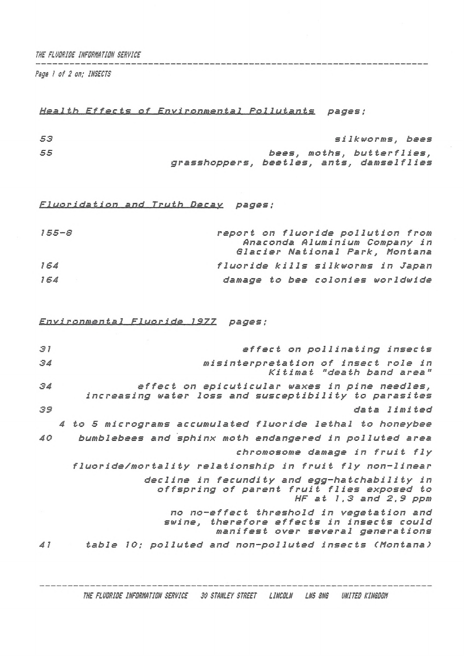**THE FLUGRIDE INFORMATION SERVICE** 

*Pegs i of <sup>2</sup> on; INSECTS*

## *Health Effects of Environmental Pollutants pages ;*

| 53 |                                          |  | silkworms, bees           |  |
|----|------------------------------------------|--|---------------------------|--|
| 55 |                                          |  | bees, moths, butterflies, |  |
|    | grasshoppers, beetles, ants, damselflies |  |                           |  |

*Fluoridation and Truth Decay pages*;

| $155 - S$ | report on fluoride pollution from |
|-----------|-----------------------------------|
|           | Anaconda Aluminium Company in     |
|           | Glacier National Park, Montana    |
| 154       | fluoride kills silkworms in Japan |
| 164       | damage to bee colonies worldwide  |

*Envi rontnen-Lal Flu&r.ide 19.77. pages ;*

| 31 | effect on pollinating insects                                                                                              |
|----|----------------------------------------------------------------------------------------------------------------------------|
| 34 | misinterpretation of insect role in<br>Kitimat "death band area"                                                           |
| 34 | effect on epicuticular waxes in pine needles,<br>increasing water loss and susceptibility to parasites                     |
| 39 | data limited                                                                                                               |
|    | 4 to 5 micrograms accumulated fluoride lethal to honeybee                                                                  |
| 40 | bumblebees and sphinx moth endangered in polluted area                                                                     |
|    | chromosome damage in fruit fly                                                                                             |
|    | fluoride/mortality relationship in fruit fly non-linear                                                                    |
|    | decline in fecundity and egg-hatchability in<br>offspring of parent fruit flies exposed to<br>HF at $1, 3$ and $2, 9$ ppm  |
|    | no no-effect threshold in vegetation and<br>swine, therefore effects in insects could<br>manifest over several generations |
| 41 | table 10; polluted and non-polluted insects (Montana)                                                                      |